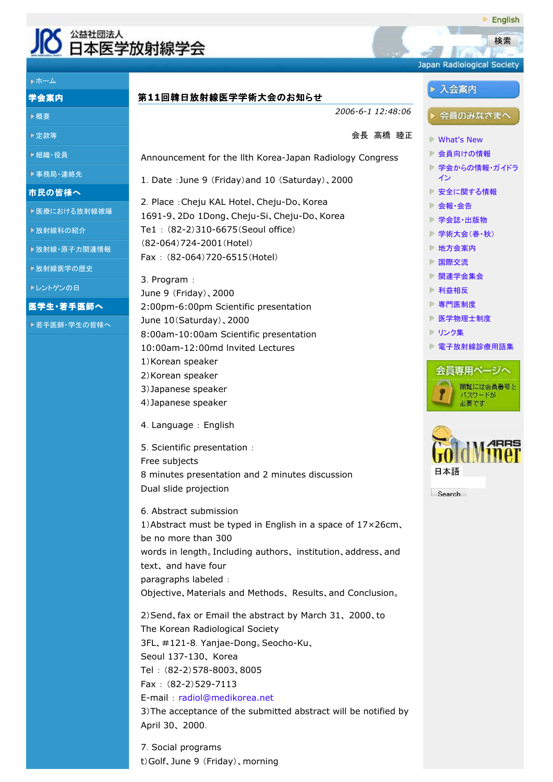

ホーム 学会案内

概要

定款等

組織・役員



English

E-mail : radiol@medikorea.net 3)The acceptance of the submitted abstract will be notified by April 30、 2000.

7.Social programs t)Golf、June 9 (Friday)、morning